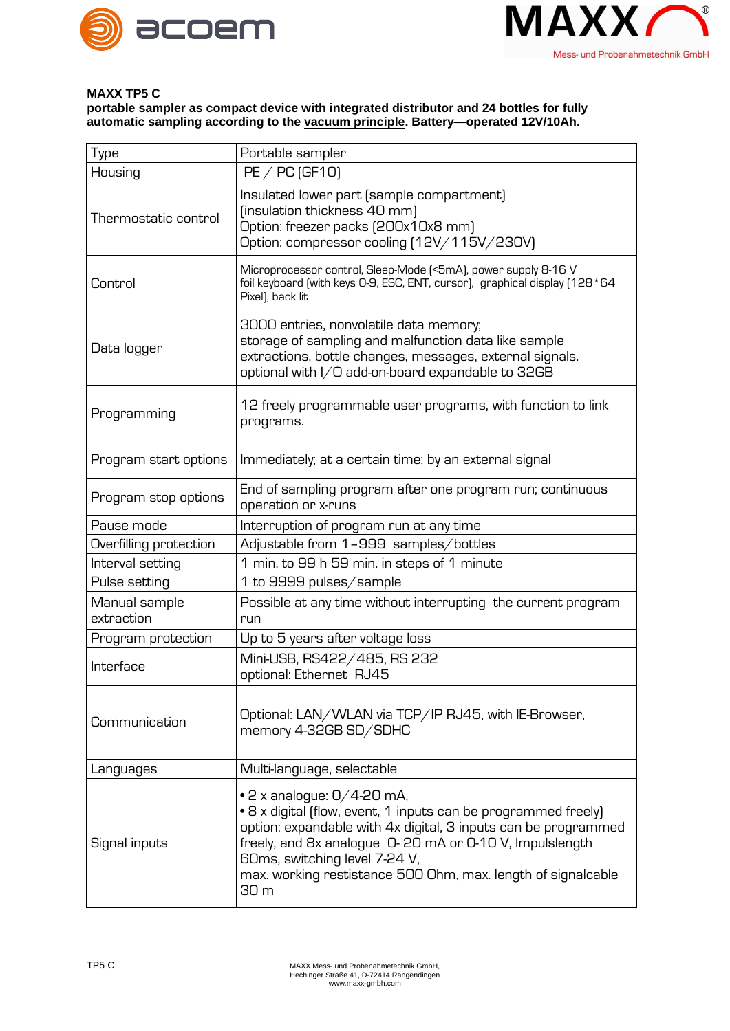



## **MAXX TP5 C**

**portable sampler as compact device with integrated distributor and 24 bottles for fully automatic sampling according to the vacuum principle. Battery—operated 12V/10Ah.**

| Type                        | Portable sampler                                                                                                                                                                                                                                                                                                                           |
|-----------------------------|--------------------------------------------------------------------------------------------------------------------------------------------------------------------------------------------------------------------------------------------------------------------------------------------------------------------------------------------|
| Housing                     | $PE / PC$ (GF10)                                                                                                                                                                                                                                                                                                                           |
| Thermostatic control        | Insulated lower part (sample compartment)<br>(insulation thickness 40 mm)<br>Option: freezer packs (200x10x8 mm)<br>Option: compressor cooling [12V/115V/230V]                                                                                                                                                                             |
| Control                     | Microprocessor control, Sleep-Mode [<5mA], power supply 8-16 V<br>foil keyboard (with keys O-9, ESC, ENT, cursor), graphical display (128 *64<br>Pixel), back lit                                                                                                                                                                          |
| Data logger                 | 3000 entries, nonvolatile data memory;<br>storage of sampling and malfunction data like sample<br>extractions, bottle changes, messages, external signals.<br>optional with I/O add-on-board expandable to 32GB                                                                                                                            |
| Programming                 | 12 freely programmable user programs, with function to link<br>programs.                                                                                                                                                                                                                                                                   |
| Program start options       | Immediately; at a certain time; by an external signal                                                                                                                                                                                                                                                                                      |
| Program stop options        | End of sampling program after one program run; continuous<br>operation or x-runs                                                                                                                                                                                                                                                           |
| Pause mode                  | Interruption of program run at any time                                                                                                                                                                                                                                                                                                    |
| Overfilling protection      | Adjustable from 1-999 samples/bottles                                                                                                                                                                                                                                                                                                      |
| Interval setting            | 1 min. to 99 h 59 min. in steps of 1 minute                                                                                                                                                                                                                                                                                                |
| Pulse setting               | 1 to 9999 pulses/sample                                                                                                                                                                                                                                                                                                                    |
| Manual sample<br>extraction | Possible at any time without interrupting the current program<br>run                                                                                                                                                                                                                                                                       |
| Program protection          | Up to 5 years after voltage loss                                                                                                                                                                                                                                                                                                           |
| Interface                   | Mini-USB, RS422/485, RS 232<br>optional: Ethernet RJ45                                                                                                                                                                                                                                                                                     |
| Communication               | Optional: LAN/WLAN via TCP/IP RJ45, with IE-Browser,<br>memory 4-32GB SD/SDHC                                                                                                                                                                                                                                                              |
| Languages                   | Multi-language, selectable                                                                                                                                                                                                                                                                                                                 |
| Signal inputs               | $\bullet$ 2 x analogue: 0/4-20 mA,<br>• 8 x digital (flow, event, 1 inputs can be programmed freely)<br>option: expandable with 4x digital, 3 inputs can be programmed<br>freely, and 8x analogue 0-20 mA or 0-10 V, Impulslength<br>60ms, switching level 7-24 V,<br>max. working restistance 500 Ohm, max. length of signalcable<br>30 m |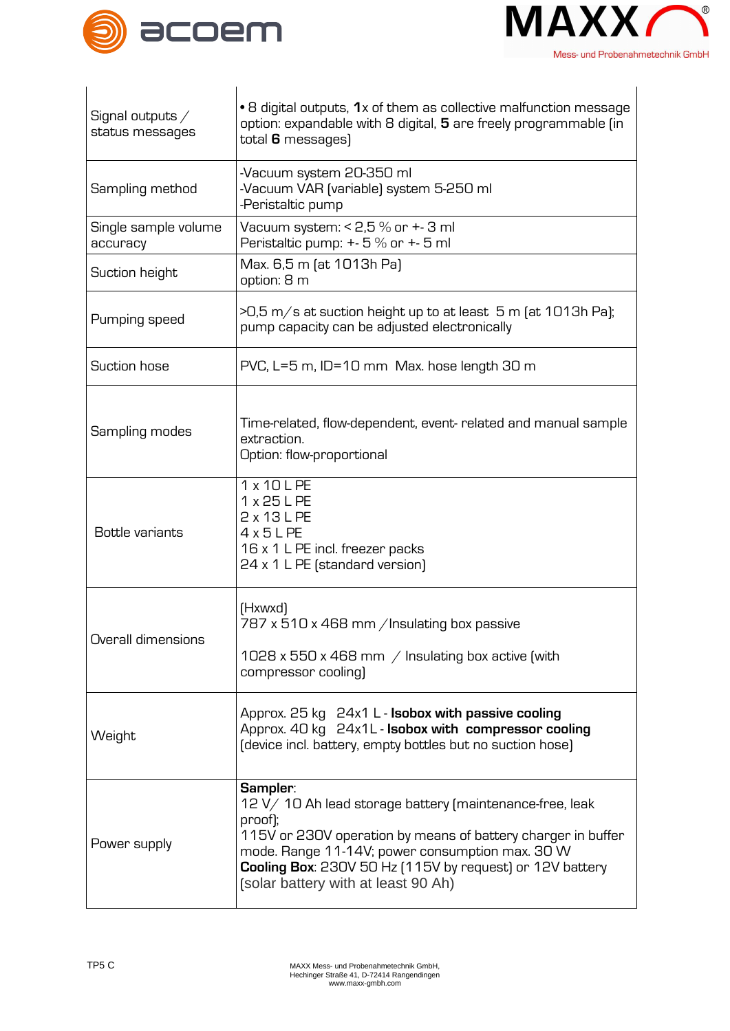



| Signal outputs /<br>status messages | • 8 digital outputs, 1x of them as collective malfunction message<br>option: expandable with 8 digital, 5 are freely programmable (in<br>total 6 messages)                                                                                                                                            |
|-------------------------------------|-------------------------------------------------------------------------------------------------------------------------------------------------------------------------------------------------------------------------------------------------------------------------------------------------------|
| Sampling method                     | -Vacuum system 20-350 ml<br>-Vacuum VAR (variable) system 5-250 ml<br>-Peristaltic pump                                                                                                                                                                                                               |
| Single sample volume<br>accuracy    | Vacuum system: $< 2.5 \%$ or $+3$ ml<br>Peristaltic pump: +- 5 % or +- 5 ml                                                                                                                                                                                                                           |
| Suction height                      | Max. 6,5 m (at 1013h Pa)<br>option: 8 m                                                                                                                                                                                                                                                               |
| Pumping speed                       | $>0.5$ m/s at suction height up to at least 5 m (at 1013h Pa);<br>pump capacity can be adjusted electronically                                                                                                                                                                                        |
| Suction hose                        | PVC, L=5 m, ID=10 mm Max. hose length 30 m                                                                                                                                                                                                                                                            |
| Sampling modes                      | Time-related, flow-dependent, event-related and manual sample<br>extraction.<br>Option: flow-proportional                                                                                                                                                                                             |
| Bottle variants                     | 1 x 10 L PE<br>1 x 25 L PE<br>2 x 13 L PE<br>$4 \times 5$ LPE<br>16 x 1 L PE incl. freezer packs<br>24 x 1 L PE (standard version)                                                                                                                                                                    |
| Overall dimensions                  | (Hxwxd)<br>787 x 510 x 468 mm / Insulating box passive<br>1028 x 550 x 468 mm $\,$ Insulating box active (with<br>compressor cooling)                                                                                                                                                                 |
| Weight                              | Approx. 25 kg 24x1 L - Isobox with passive cooling<br>Approx. 40 kg 24x1L - Isobox with compressor cooling<br>(device incl. battery, empty bottles but no suction hose)                                                                                                                               |
| Power supply                        | Sampler:<br>12 V/ 10 Ah lead storage battery (maintenance-free, leak<br>proof);<br>115V or 230V operation by means of battery charger in buffer<br>mode. Range 11-14V; power consumption max. 30 W<br>Cooling Box: 230V 50 Hz [115V by request] or 12V battery<br>(solar battery with at least 90 Ah) |